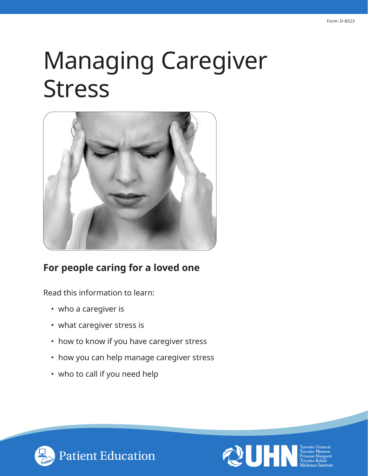# Managing Caregiver Stress



# **For people caring for a loved one**

Read this information to learn:

- who a caregiver is
- what caregiver stress is
- how to know if you have caregiver stress
- how you can help manage caregiver stress
- who to call if you need help



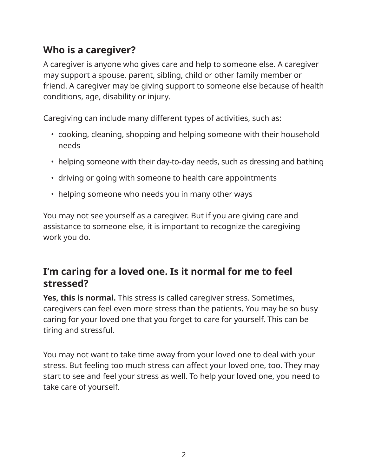# **Who is a caregiver?**

A caregiver is anyone who gives care and help to someone else. A caregiver may support a spouse, parent, sibling, child or other family member or friend. A caregiver may be giving support to someone else because of health conditions, age, disability or injury.

Caregiving can include many different types of activities, such as:

- cooking, cleaning, shopping and helping someone with their household needs
- helping someone with their day-to-day needs, such as dressing and bathing
- driving or going with someone to health care appointments
- helping someone who needs you in many other ways

You may not see yourself as a caregiver. But if you are giving care and assistance to someone else, it is important to recognize the caregiving work you do.

# **I'm caring for a loved one. Is it normal for me to feel stressed?**

**Yes, this is normal.** This stress is called caregiver stress. Sometimes, caregivers can feel even more stress than the patients. You may be so busy caring for your loved one that you forget to care for yourself. This can be tiring and stressful.

You may not want to take time away from your loved one to deal with your stress. But feeling too much stress can affect your loved one, too. They may start to see and feel your stress as well. To help your loved one, you need to take care of yourself.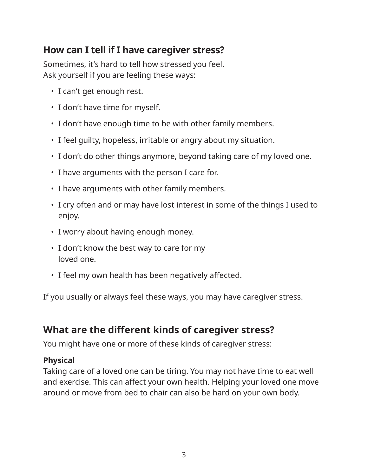# **How can I tell if I have caregiver stress?**

Sometimes, it's hard to tell how stressed you feel. Ask yourself if you are feeling these ways:

- I can't get enough rest.
- I don't have time for myself.
- I don't have enough time to be with other family members.
- I feel guilty, hopeless, irritable or angry about my situation.
- I don't do other things anymore, beyond taking care of my loved one.
- I have arguments with the person I care for.
- I have arguments with other family members.
- I cry often and or may have lost interest in some of the things I used to enjoy.
- I worry about having enough money.
- I don't know the best way to care for my loved one.
- I feel my own health has been negatively affected.

If you usually or always feel these ways, you may have caregiver stress.

# **What are the different kinds of caregiver stress?**

You might have one or more of these kinds of caregiver stress:

# **Physical**

Taking care of a loved one can be tiring. You may not have time to eat well and exercise. This can affect your own health. Helping your loved one move around or move from bed to chair can also be hard on your own body.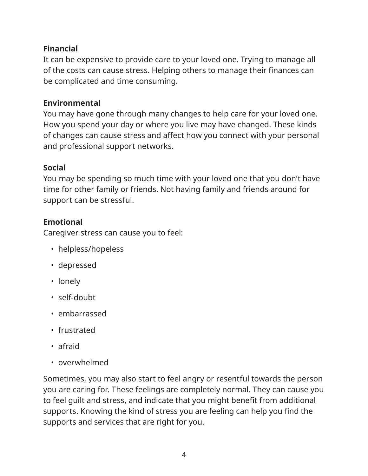# **Financial**

It can be expensive to provide care to your loved one. Trying to manage all of the costs can cause stress. Helping others to manage their finances can be complicated and time consuming.

#### **Environmental**

You may have gone through many changes to help care for your loved one. How you spend your day or where you live may have changed. These kinds of changes can cause stress and affect how you connect with your personal and professional support networks.

#### **Social**

You may be spending so much time with your loved one that you don't have time for other family or friends. Not having family and friends around for support can be stressful.

# **Emotional**

Caregiver stress can cause you to feel:

- helpless/hopeless
- depressed
- lonely
- self-doubt
- embarrassed
- frustrated
- afraid
- overwhelmed

Sometimes, you may also start to feel angry or resentful towards the person you are caring for. These feelings are completely normal. They can cause you to feel guilt and stress, and indicate that you might benefit from additional supports. Knowing the kind of stress you are feeling can help you find the supports and services that are right for you.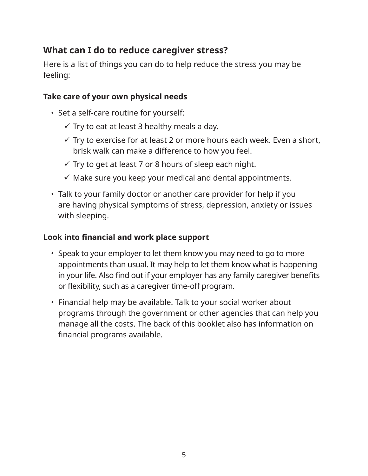# **What can I do to reduce caregiver stress?**

Here is a list of things you can do to help reduce the stress you may be feeling:

#### **Take care of your own physical needs**

- Set a self-care routine for yourself:
	- $\checkmark$  Try to eat at least 3 healthy meals a day.
	- $\checkmark$  Try to exercise for at least 2 or more hours each week. Even a short, brisk walk can make a difference to how you feel.
	- $\checkmark$  Try to get at least 7 or 8 hours of sleep each night.
	- $\checkmark$  Make sure you keep your medical and dental appointments.
- Talk to your family doctor or another care provider for help if you are having physical symptoms of stress, depression, anxiety or issues with sleeping.

#### **Look into financial and work place support**

- Speak to your employer to let them know you may need to go to more appointments than usual. It may help to let them know what is happening in your life. Also find out if your employer has any family caregiver benefits or flexibility, such as a caregiver time-off program.
- Financial help may be available. Talk to your social worker about programs through the government or other agencies that can help you manage all the costs. The back of this booklet also has information on financial programs available.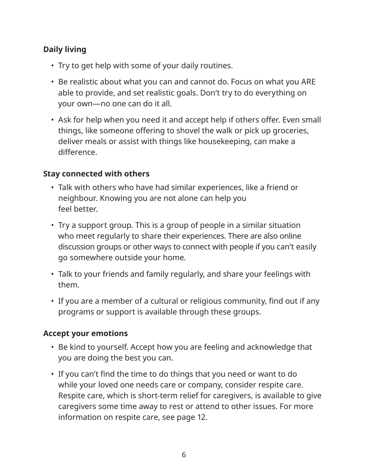# **Daily living**

- Try to get help with some of your daily routines.
- Be realistic about what you can and cannot do. Focus on what you ARE able to provide, and set realistic goals. Don't try to do everything on your own—no one can do it all.
- Ask for help when you need it and accept help if others offer. Even small things, like someone offering to shovel the walk or pick up groceries, deliver meals or assist with things like housekeeping, can make a difference.

# **Stay connected with others**

- Talk with others who have had similar experiences, like a friend or neighbour. Knowing you are not alone can help you feel better.
- Try a support group. This is a group of people in a similar situation who meet regularly to share their experiences. There are also online discussion groups or other ways to connect with people if you can't easily go somewhere outside your home.
- Talk to your friends and family regularly, and share your feelings with them.
- If you are a member of a cultural or religious community, find out if any programs or support is available through these groups.

#### **Accept your emotions**

- Be kind to yourself. Accept how you are feeling and acknowledge that you are doing the best you can.
- If you can't find the time to do things that you need or want to do while your loved one needs care or company, consider respite care. Respite care, which is short-term relief for caregivers, is available to give caregivers some time away to rest or attend to other issues. For more information on respite care, see page 12.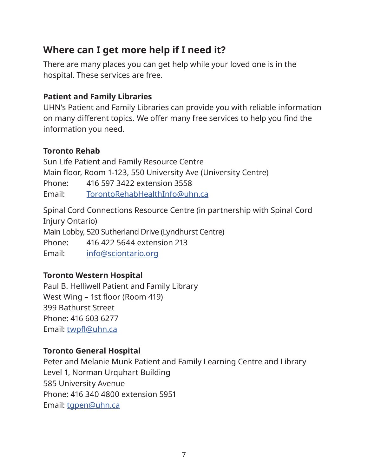# **Where can I get more help if I need it?**

There are many places you can get help while your loved one is in the hospital. These services are free.

# **Patient and Family Libraries**

UHN's Patient and Family Libraries can provide you with reliable information on many different topics. We offer many free services to help you find the information you need.

# **Toronto Rehab**

Sun Life Patient and Family Resource Centre Main floor, Room 1-123, 550 University Ave (University Centre) Phone: 416 597 3422 extension 3558 Email: TorontoRehabHealthInfo@uhn.ca

Spinal Cord Connections Resource Centre (in partnership with Spinal Cord Injury Ontario) Main Lobby, 520 Sutherland Drive (Lyndhurst Centre) Phone: 416 422 5644 extension 213 Email: info@sciontario.org

# **Toronto Western Hospital**

Paul B. Helliwell Patient and Family Library West Wing – 1st floor (Room 419) 399 Bathurst Street Phone: 416 603 6277 Email: twpfl@uhn.ca

# **Toronto General Hospital**

Peter and Melanie Munk Patient and Family Learning Centre and Library Level 1, Norman Urquhart Building 585 University Avenue Phone: 416 340 4800 extension 5951 Email: tgpen@uhn.ca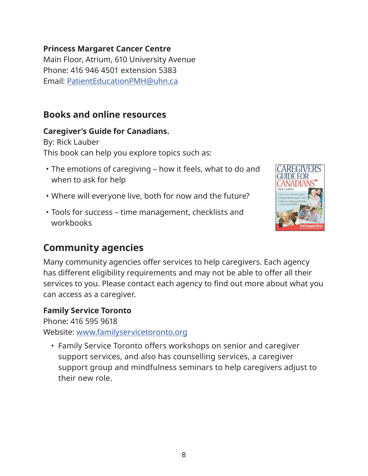#### **Princess Margaret Cancer Centre**

Main Floor, Atrium, 610 University Avenue Phone: 416 946 4501 extension 5383 Email: PatientEducationPMH@uhn.ca

# **Books and online resources**

#### **Caregiver's Guide for Canadians.**

By: Rick Lauber This book can help you explore topics such as:

- The emotions of caregiving how it feels, what to do and when to ask for help
- Where will everyone live, both for now and the future?
- Tools for success time management, checklists and workbooks



# **Community agencies**

Many community agencies offer services to help caregivers. Each agency has different eligibility requirements and may not be able to offer all their services to you. Please contact each agency to find out more about what you can access as a caregiver.

#### **Family Service Toronto**

Phone: 416 595 9618

Website: www.familyservicetoronto.org

• Family Service Toronto offers workshops on senior and caregiver support services, and also has counselling services, a caregiver support group and mindfulness seminars to help caregivers adjust to their new role.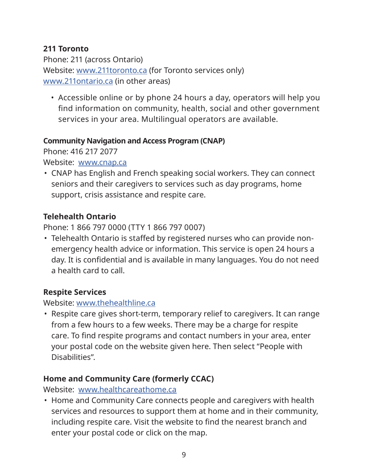# **211 Toronto**

Phone: 211 (across Ontario) Website: www.211toronto.ca (for Toronto services only) www.211ontario.ca (in other areas)

• Accessible online or by phone 24 hours a day, operators will help you find information on community, health, social and other government services in your area. Multilingual operators are available.

#### **Community Navigation and Access Program (CNAP)**

Phone: 416 217 2077

Website: www.cnap.ca

• CNAP has English and French speaking social workers. They can connect seniors and their caregivers to services such as day programs, home support, crisis assistance and respite care.

# **Telehealth Ontario**

Phone: 1 866 797 0000 (TTY 1 866 797 0007)

• Telehealth Ontario is staffed by registered nurses who can provide nonemergency health advice or information. This service is open 24 hours a day. It is confidential and is available in many languages. You do not need a health card to call.

# **Respite Services**

Website: www.thehealthline.ca

• Respite care gives short-term, temporary relief to caregivers. It can range from a few hours to a few weeks. There may be a charge for respite care. To find respite programs and contact numbers in your area, enter your postal code on the website given here. Then select "People with Disabilities".

# **Home and Community Care (formerly CCAC)**

Website: www.healthcareathome.ca

• Home and Community Care connects people and caregivers with health services and resources to support them at home and in their community, including respite care. Visit the website to find the nearest branch and enter your postal code or click on the map.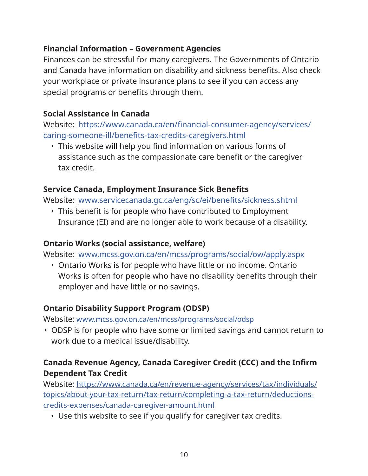# **Financial Information – Government Agencies**

Finances can be stressful for many caregivers. The Governments of Ontario and Canada have information on disability and sickness benefits. Also check your workplace or private insurance plans to see if you can access any special programs or benefits through them.

# **Social Assistance in Canada**

Website: https://www.canada.ca/en/financial-consumer-agency/services/ caring-someone-ill/benefits-tax-credits-caregivers.html

• This website will help you find information on various forms of assistance such as the compassionate care benefit or the caregiver tax credit.

#### **Service Canada, Employment Insurance Sick Benefits**

Website: www.servicecanada.gc.ca/eng/sc/ei/benefits/sickness.shtml

• This benefit is for people who have contributed to Employment Insurance (EI) and are no longer able to work because of a disability.

# **Ontario Works (social assistance, welfare)**

Website: www.mcss.gov.on.ca/en/mcss/programs/social/ow/apply.aspx

• Ontario Works is for people who have little or no income. Ontario Works is often for people who have no disability benefits through their employer and have little or no savings.

# **Ontario Disability Support Program (ODSP)**

Website: www.mcss.gov.on.ca/en/mcss/programs/social/odsp

• ODSP is for people who have some or limited savings and cannot return to work due to a medical issue/disability.

# **Canada Revenue Agency, Canada Caregiver Credit (CCC) and the Infirm Dependent Tax Credit**

Website: https://www.canada.ca/en/revenue-agency/services/tax/individuals/ topics/about-your-tax-return/tax-return/completing-a-tax-return/deductionscredits-expenses/canada-caregiver-amount.html

• Use this website to see if you qualify for caregiver tax credits.